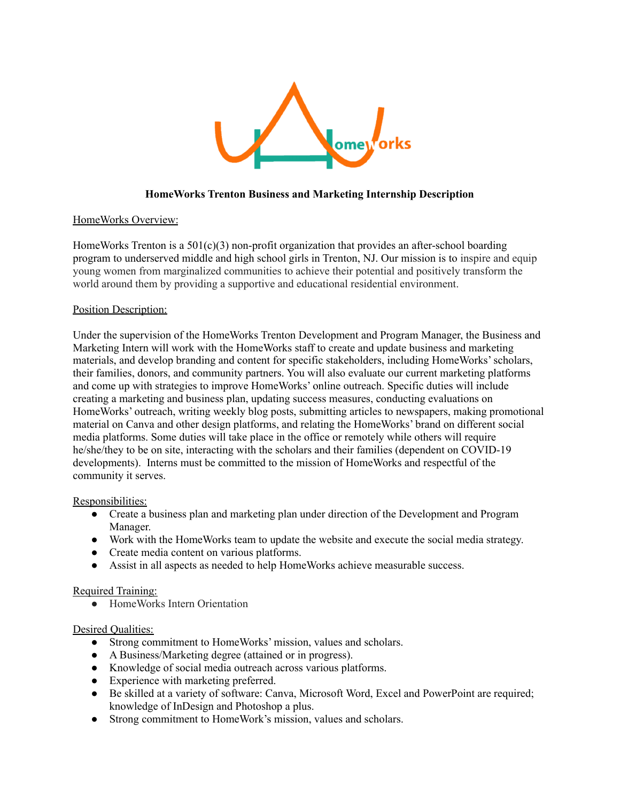

# **HomeWorks Trenton Business and Marketing Internship Description**

## HomeWorks Overview:

HomeWorks Trenton is a  $501(c)(3)$  non-profit organization that provides an after-school boarding program to underserved middle and high school girls in Trenton, NJ. Our mission is to inspire and equip young women from marginalized communities to achieve their potential and positively transform the world around them by providing a supportive and educational residential environment.

#### Position Description:

Under the supervision of the HomeWorks Trenton Development and Program Manager, the Business and Marketing Intern will work with the HomeWorks staff to create and update business and marketing materials, and develop branding and content for specific stakeholders, including HomeWorks'scholars, their families, donors, and community partners. You will also evaluate our current marketing platforms and come up with strategies to improve HomeWorks' online outreach. Specific duties will include creating a marketing and business plan, updating success measures, conducting evaluations on HomeWorks' outreach, writing weekly blog posts, submitting articles to newspapers, making promotional material on Canva and other design platforms, and relating the HomeWorks' brand on different social media platforms. Some duties will take place in the office or remotely while others will require he/she/they to be on site, interacting with the scholars and their families (dependent on COVID-19 developments). Interns must be committed to the mission of HomeWorks and respectful of the community it serves.

#### Responsibilities:

- Create a business plan and marketing plan under direction of the Development and Program Manager.
- Work with the HomeWorks team to update the website and execute the social media strategy.
- Create media content on various platforms.
- Assist in all aspects as needed to help HomeWorks achieve measurable success.

## Required Training:

● HomeWorks Intern Orientation

## Desired Qualities:

- Strong commitment to HomeWorks' mission, values and scholars.
- A Business/Marketing degree (attained or in progress).
- Knowledge of social media outreach across various platforms.
- Experience with marketing preferred.
- Be skilled at a variety of software: Canva, Microsoft Word, Excel and PowerPoint are required; knowledge of InDesign and Photoshop a plus.
- Strong commitment to HomeWork's mission, values and scholars.